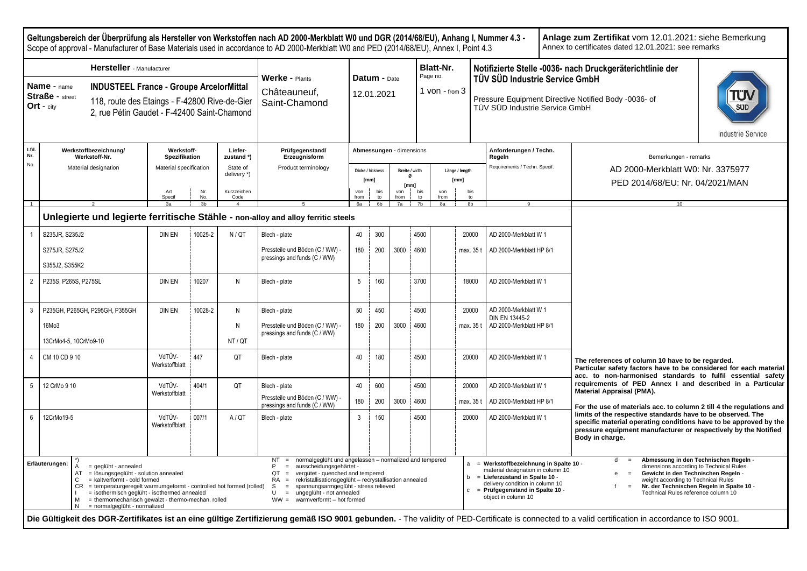| Geltungsbereich der Überprüfung als Hersteller von Werkstoffen nach AD 2000-Merkblatt W0 und DGR (2014/68/EU), Anhang I, Nummer 4.3 -<br>Anlage zum Zertifikat vom 12.01.2021: siehe Bemerkung<br>Annex to certificates dated 12.01.2021; see remarks<br>Scope of approval - Manufacturer of Base Materials used in accordance to AD 2000-Merkblatt W0 and PED (2014/68/EU), Annex I, Point 4.3 |                                                                                                                                                                                                                                                                                                                                                                                                                                                                                                                                                                                                                                                                                                                                                                                                                                                                                                                                                                                                                                                                                                                                                                                                                           |                             |                |                         |                                                                 |                            |                          |             |                                               |                                             |                |                                                                                                                          |  |                                                                                                                                                                                                                        |  |  |
|-------------------------------------------------------------------------------------------------------------------------------------------------------------------------------------------------------------------------------------------------------------------------------------------------------------------------------------------------------------------------------------------------|---------------------------------------------------------------------------------------------------------------------------------------------------------------------------------------------------------------------------------------------------------------------------------------------------------------------------------------------------------------------------------------------------------------------------------------------------------------------------------------------------------------------------------------------------------------------------------------------------------------------------------------------------------------------------------------------------------------------------------------------------------------------------------------------------------------------------------------------------------------------------------------------------------------------------------------------------------------------------------------------------------------------------------------------------------------------------------------------------------------------------------------------------------------------------------------------------------------------------|-----------------------------|----------------|-------------------------|-----------------------------------------------------------------|----------------------------|--------------------------|-------------|-----------------------------------------------|---------------------------------------------|----------------|--------------------------------------------------------------------------------------------------------------------------|--|------------------------------------------------------------------------------------------------------------------------------------------------------------------------------------------------------------------------|--|--|
| <b>Hersteller</b> - Manufacturer<br>Name - name<br><b>INDUSTEEL France - Groupe ArcelorMittal</b><br><b>Straße</b> - street<br>118, route des Etaings - F-42800 Rive-de-Gier<br>Ort - $city$<br>2, rue Pétin Gaudet - F-42400 Saint-Chamond                                                                                                                                                     |                                                                                                                                                                                                                                                                                                                                                                                                                                                                                                                                                                                                                                                                                                                                                                                                                                                                                                                                                                                                                                                                                                                                                                                                                           |                             |                |                         | Werke - Plants<br>Châteauneuf,<br>Saint-Chamond                 | Datum - Date<br>12.01.2021 |                          |             |                                               | Blatt-Nr.<br>Page no.<br>$1$ von - from $3$ |                | TÜV SÜD Industrie Service GmbH<br>Pressure Equipment Directive Notified Body -0036- of<br>TÜV SÜD Industrie Service GmbH |  | Notifizierte Stelle -0036- nach Druckgeräterichtlinie der<br><b>Industrie Service</b>                                                                                                                                  |  |  |
| Lfd.<br>Nr.                                                                                                                                                                                                                                                                                                                                                                                     | Werkstoffbezeichnung/<br>Werkstoff-Nr.                                                                                                                                                                                                                                                                                                                                                                                                                                                                                                                                                                                                                                                                                                                                                                                                                                                                                                                                                                                                                                                                                                                                                                                    | Werkstoff-<br>Spezifikation |                | Liefer-<br>zustand*)    | Prüfgegenstand/<br>Erzeugnisform                                |                            | Abmessungen - dimensions |             |                                               |                                             |                | Anforderungen / Techn.<br>Regeln                                                                                         |  | Bemerkungen - remarks                                                                                                                                                                                                  |  |  |
| No.                                                                                                                                                                                                                                                                                                                                                                                             | Material designation                                                                                                                                                                                                                                                                                                                                                                                                                                                                                                                                                                                                                                                                                                                                                                                                                                                                                                                                                                                                                                                                                                                                                                                                      | Material specification      |                | State of<br>delivery *) | Product terminology                                             |                            | Dicke / hickness<br>[mm] |             | Breite / width<br>$\alpha$                    | Länge / length<br>[mm]                      |                | Requirements / Techn. Specif.                                                                                            |  | AD 2000-Merkblatt W0: Nr. 3375977                                                                                                                                                                                      |  |  |
|                                                                                                                                                                                                                                                                                                                                                                                                 |                                                                                                                                                                                                                                                                                                                                                                                                                                                                                                                                                                                                                                                                                                                                                                                                                                                                                                                                                                                                                                                                                                                                                                                                                           | Art<br>Specif               | Nr.<br>No.     | Kurzzeichen<br>Code     |                                                                 | von<br>from                | bis<br>$t_{\Omega}$      | von<br>from | [mm]<br>bis<br>$t^{\Omega}$<br>7 <sub>b</sub> | von<br>from<br>8a                           | bis<br>to      |                                                                                                                          |  | PED 2014/68/EU: Nr. 04/2021/MAN                                                                                                                                                                                        |  |  |
| $\overline{1}$                                                                                                                                                                                                                                                                                                                                                                                  | Unlegierte und legierte ferritische Stähle - non-alloy and alloy ferritic steels                                                                                                                                                                                                                                                                                                                                                                                                                                                                                                                                                                                                                                                                                                                                                                                                                                                                                                                                                                                                                                                                                                                                          | 3a                          | 3 <sub>b</sub> | $\overline{4}$          | - 5                                                             | $6a$ $16b$<br>7a           |                          |             |                                               |                                             | 8 <sub>b</sub> |                                                                                                                          |  | 10 <sup>1</sup>                                                                                                                                                                                                        |  |  |
|                                                                                                                                                                                                                                                                                                                                                                                                 |                                                                                                                                                                                                                                                                                                                                                                                                                                                                                                                                                                                                                                                                                                                                                                                                                                                                                                                                                                                                                                                                                                                                                                                                                           |                             |                |                         |                                                                 |                            |                          |             |                                               |                                             |                |                                                                                                                          |  |                                                                                                                                                                                                                        |  |  |
|                                                                                                                                                                                                                                                                                                                                                                                                 | S235JR, S235J2                                                                                                                                                                                                                                                                                                                                                                                                                                                                                                                                                                                                                                                                                                                                                                                                                                                                                                                                                                                                                                                                                                                                                                                                            | DIN EN                      | 10025-2        | N/QT                    | Blech - plate                                                   | 40                         | 300                      |             | 4500                                          |                                             | 20000          | AD 2000-Merkblatt W 1                                                                                                    |  |                                                                                                                                                                                                                        |  |  |
|                                                                                                                                                                                                                                                                                                                                                                                                 | S275JR, S275J2<br>S355J2, S355K2                                                                                                                                                                                                                                                                                                                                                                                                                                                                                                                                                                                                                                                                                                                                                                                                                                                                                                                                                                                                                                                                                                                                                                                          |                             |                |                         | Pressteile und Böden (C / WW)<br>pressings and funds (C / WW)   | 180                        | 200                      | 3000        | 4600                                          |                                             | max. 35 t      | AD 2000-Merkblatt HP 8/1                                                                                                 |  |                                                                                                                                                                                                                        |  |  |
| $\overline{2}$                                                                                                                                                                                                                                                                                                                                                                                  | P235S, P265S, P275SL                                                                                                                                                                                                                                                                                                                                                                                                                                                                                                                                                                                                                                                                                                                                                                                                                                                                                                                                                                                                                                                                                                                                                                                                      | <b>DIN EN</b>               | 10207          | N                       | Blech - plate                                                   | 5                          | 160                      |             | 3700                                          |                                             | 18000          | AD 2000-Merkblatt W 1                                                                                                    |  |                                                                                                                                                                                                                        |  |  |
| 3                                                                                                                                                                                                                                                                                                                                                                                               | P235GH, P265GH, P295GH, P355GH                                                                                                                                                                                                                                                                                                                                                                                                                                                                                                                                                                                                                                                                                                                                                                                                                                                                                                                                                                                                                                                                                                                                                                                            | DIN EN                      | 10028-2        | N                       | Blech - plate                                                   | 50                         | 450                      |             | 4500                                          |                                             | 20000          | AD 2000-Merkblatt W 1<br>DIN EN 13445-2                                                                                  |  |                                                                                                                                                                                                                        |  |  |
|                                                                                                                                                                                                                                                                                                                                                                                                 | 16Mo3<br>13CrMo4-5, 10CrMo9-10                                                                                                                                                                                                                                                                                                                                                                                                                                                                                                                                                                                                                                                                                                                                                                                                                                                                                                                                                                                                                                                                                                                                                                                            |                             |                | N<br>NT/OT              | Pressteile und Böden (C / WW)<br>pressings and funds (C / WW)   | 180                        | 200                      | 3000        | 4600                                          |                                             | max. 35 t      | AD 2000-Merkblatt HP 8/1                                                                                                 |  |                                                                                                                                                                                                                        |  |  |
| $\overline{4}$                                                                                                                                                                                                                                                                                                                                                                                  | CM 10 CD 9 10                                                                                                                                                                                                                                                                                                                                                                                                                                                                                                                                                                                                                                                                                                                                                                                                                                                                                                                                                                                                                                                                                                                                                                                                             | VdTÜV-<br>Werkstoffblatt    | 447            | QT                      | Blech - plate                                                   | 40                         | 180                      |             | 4500                                          |                                             | 20000          | AD 2000-Merkblatt W 1                                                                                                    |  | The references of column 10 have to be regarded.<br>Particular safety factors have to be considered for each material<br>acc. to non-harmonised standards to fulfil essential safety                                   |  |  |
| $5\phantom{.0}$                                                                                                                                                                                                                                                                                                                                                                                 | 12 CrMo 9 10                                                                                                                                                                                                                                                                                                                                                                                                                                                                                                                                                                                                                                                                                                                                                                                                                                                                                                                                                                                                                                                                                                                                                                                                              | VdTÜV-<br>Werkstoffblatt    | 404/1          | QT                      | Blech - plate                                                   | 40                         | 600                      |             | 4500                                          |                                             | 20000          | AD 2000-Merkblatt W 1                                                                                                    |  | requirements of PED Annex I and described in a Particular<br>Material Appraisal (PMA).                                                                                                                                 |  |  |
|                                                                                                                                                                                                                                                                                                                                                                                                 |                                                                                                                                                                                                                                                                                                                                                                                                                                                                                                                                                                                                                                                                                                                                                                                                                                                                                                                                                                                                                                                                                                                                                                                                                           |                             |                |                         | Pressteile und Böden (C / WW) -<br>pressings and funds (C / WW) | 180                        | 200                      | 3000        | 4600                                          |                                             | max. 35 t      | AD 2000-Merkblatt HP 8/1                                                                                                 |  | For the use of materials acc. to column 2 till 4 the regulations and                                                                                                                                                   |  |  |
| $6\phantom{.}6$                                                                                                                                                                                                                                                                                                                                                                                 | 12CrMo19-5                                                                                                                                                                                                                                                                                                                                                                                                                                                                                                                                                                                                                                                                                                                                                                                                                                                                                                                                                                                                                                                                                                                                                                                                                | VdTÜV-<br>Werkstoffblatt    | 007/1          | A/OT                    | Blech - plate                                                   | 3                          | 150                      |             | 4500                                          |                                             | 20000          | AD 2000-Merkblatt W 1                                                                                                    |  | limits of the respective standards have to be observed. The<br>specific material operating conditions have to be approved by the<br>pressure equipment manufacturer or respectively by the Notified<br>Body in charge. |  |  |
|                                                                                                                                                                                                                                                                                                                                                                                                 | normalgeglüht und angelassen - normalized and tempered<br>Abmessung in den Technischen Regeln -<br>NT<br>$=$<br>Erläuterungen:<br>= Werkstoffbezeichnung in Spalte 10 -<br>a<br>$=$ geglüht - annealed<br>P<br>ausscheidungsgehärtet -<br>dimensions according to Technical Rules<br>material designation in column 10<br>vergütet - quenched and tempered<br>Gewicht in den Technischen Regeln -<br>= lösungsgeglüht - solution annealed<br>QT<br>AT<br>$=$ Lieferzustand in Spalte 10 -<br>b<br>= kaltverformt - cold formed<br>rekristallisationsgeglüht - recrystallisation annealed<br>weight according to Technical Rules<br>C<br><b>RA</b><br>delivery condition in column 10<br>= temperaturgeregelt warmumgeformt - controlled hot formed (rolled)<br>spannungsarmgeglüht - stress relieved<br>Nr. der Technischen Regeln in Spalte 10 -<br>CR.<br>S.<br>$\equiv$<br>$=$ Prüfgegenstand in Spalte 10 -<br>$\mathbf{c}$<br>= isothermisch geglüht - isothermed annealed<br>U<br>ungeglüht - not annealed<br>Technical Rules reference column 10<br>$\equiv$<br>object in column 10<br>= thermomechanisch gewalzt - thermo-mechan. rolled<br>$WW =$ warmverformt - hot formed<br>= normalgeglüht - normalized<br>N |                             |                |                         |                                                                 |                            |                          |             |                                               |                                             |                |                                                                                                                          |  |                                                                                                                                                                                                                        |  |  |

Die Gültigkeit des DGR-Zertifikates ist an eine gültige Zertifizierung gemäß ISO 9001 gebunden. - The validity of PED-Certificate is connected to a valid certification in accordance to ISO 9001.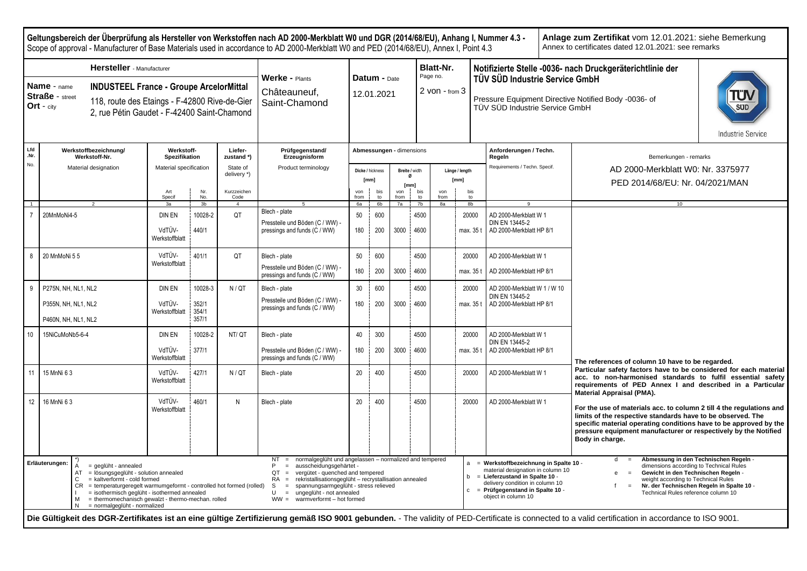**Geltungsbereich der Überprüfung als Hersteller von Werkstoffen nach AD 2000-Merkblatt W0 und DGR (2014/68/EU), Anhang I, Nummer 4.3 - Anlage zum Zertifikat** vom 12.01.2021: siehe Bemerkung Annex to certificates dated 12.01.2021: see remarks Scope of approval - Manufacturer of Base Materials used in accordance to AD 2000-Merkblatt W0 and PED (2014/68/EU), Annex I, Point 4.3 **Hersteller** - Manufacturer **Blatt-Nr. Notifizierte Stelle -0036- nach Druckgeräterichtlinie der** Page no. **Werke -** Plants **Datum -** Date **TÜV SÜD Industrie Service GmbH Name** - name **INDUSTEEL France - Groupe ArcelorMittal** 2 von - from 3 **Châteauneuf** 12.01.2021 **Straße** - street Pressure Equipment Directive Notified Body -0036- of 118, route des Etaings - F-42800 Rive-de-Gier Saint-Chamond **Ort** - city TÜV SÜD Industrie Service GmbH 2, rue Pétin Gaudet - F-42400 Saint-Chamond **Industrie Service Lfd Werkstoffbezeichnung/ Werkstoff-Liefer-Prüfgegenstand/ Abmessungen -** dimensions **Anforderungen / Techn. .Nr. Spezifikation Werkstoff-Nr. zustand \*) Erzeugnisform Regeln** Bemerkungen - remarks  No. Material designation Material specification State of Product terminology Requirements / Techn. Specif. AD 2000-Merkblatt W0: Nr. 3375977 **Dicke /** hickness **Breite /** width **Länge / length** delivery \*) **Ø [mm] [mm]** PED 2014/68/EU: Nr. 04/2021/MAN **[mm]** Art Nr. Kurzzeichen von bis von bis von bis Specif No.<br>3h Code from<br>6a to<br>6h from<br>7a  $\frac{10}{7h}$ from to<br>8h 1 | 2 | 3a | 3b | 4 | 5 | 6a | 6b | 7a | 7b | 8a | 8b | 9 | | | QT Blech - plate 20MnMoNi4-5 **DIN EN** 10028-2 50 600 4500 20000 AD 2000-Merkblatt W 1 Pressteile und Böden (C / WW) - DIN EN 13445-2 VdTÜV-440/1 pressings and funds  $(\dot{C} / WW)$ 180 200 3000 4600 max. 35 t AD 2000-Merkblatt HP 8/1 Werkstoffblatt 8 20 MnMoNi 5 5 VdTÜV-4500 401/1 QT Blech - plate 50 600 20000 AD 2000-Merkblatt W 1 Werkstoffblatt Pressteile und Böden (C / WW) - 180 200 3000 4600 AD 2000-Merkblatt HP 8/1 max. 35 t pressings and funds (C / WW) 30 4500 9 P275N, NH, NL1, NL2 DIN EN 10028-3 N/QT Blech - plate 600 20000 AD 2000-Merkblatt W 1 / W 10 DIN EN 13445-2 Pressteile und Böden (C / WW) - P355N, NH, NL1, NL2 VdTÜV-352/1 180 200 3000 4600 AD 2000-Merkblatt HP 8/1 max. 35 t pressings and funds (C / WW) 354/1 **Werkstoffblatt** P460N, NH, NL1, NL2 357/1 10 15NiCuMoNb5-6-4 DIN EN 10028-2 NT/ QT Blech - plate 40 300 4500 20000 AD 2000-Merkblatt W 1 DIN EN 13445-2 VdTÜV-Pressteile und Böden (C / WW) - 377/1 180 200 3000 4600 max. 35 t AD 2000-Merkblatt HP 8/1 Werkstoffblatt pressings and funds (C / WW) **The references of column 10 have to be regarded. Particular safety factors have to be considered for each material** 11 15 MnNi 6 3 VdTÜV-427/1 N / QT Blech - plate 20 400 4500 4500 2000 AD 2000-Merkblatt W 1 **acc. to non-harmonised standards to fulfil essential safety** Werkstoffblatt **requirements of PED Annex I and described in a Particular Material Appraisal (PMA).** 12 16 MnNi 6 3 VdTÜV-460/1 N Blech - plate 20 | 20 | 400 | 4500 | 20000 AD 2000-Merkblatt W 1 **For the use of materials acc. to column 2 till 4 the regulations and**  Werkstoffblatt **limits of the respective standards have to be observed. The specific material operating conditions have to be approved by the pressure equipment manufacturer or respectively by the Notified Body in charge.** d = **Abmessung in den Technischen Regeln** - NT = normalgeglüht und angelassen – normalized and tempered<br> $P =$  ausscheidungsgehärtet a = **Werkstoffbezeichnung in Spalte 10** - **Erläuterungen:**  $\begin{bmatrix} 7 \\ 4 \end{bmatrix}$  $=$  geglüht - annealed = ausscheidungsgehärtet dimensions according to Technical Rules material designation in column 10  $AT = I\ddot{o}sungsgeglüht - solution annealed  
\n $C = kaltverform - cold formed$$  $QT = \text{vergütet - quenched}$  and tempered<br> $RA = \text{rekristallisation}$ sationsgeglüht – recrystall **Gewicht in den Technischen Regeln** b = **Lieferzustand in Spalte 10** -  $=$  kaltverformt - cold formed rekristallisationsgeglüht – recrystallisation annealed weight according to Technical Rules delivery condition in column 10  $S =$  spannungsarmgeglüht - stress relieved<br> $U =$  ungeglüht - not annealed  $CR = temperatureqelt warmumqeformt - controlled hot formed (rolled)$ f = **Nr. der Technischen Regeln in Spalte 10** c = **Prüfgegenstand in Spalte 10** -  $I = isothermisch-geglüht - isothermed annealed$ <br> $M = the**rmomechanisch-gevalzt** + the**rmomebarbar**$  $U =$  ungeglüht - not annealed Technical Rules reference column 10 object in column 10  $M =$  thermomechanisch gewalzt - thermo-mechan. rolled<br> $N =$  normaloguith - pormalized WW = warmverformt – hot formed  $=$  normalgeglüht - normalized Die Gültigkeit des DGR-Zertifikates ist an eine gültige Zertifizierung gemäß ISO 9001 gebunden. - The validity of PED-Certificate is connected to a valid certification in accordance to ISO 9001.